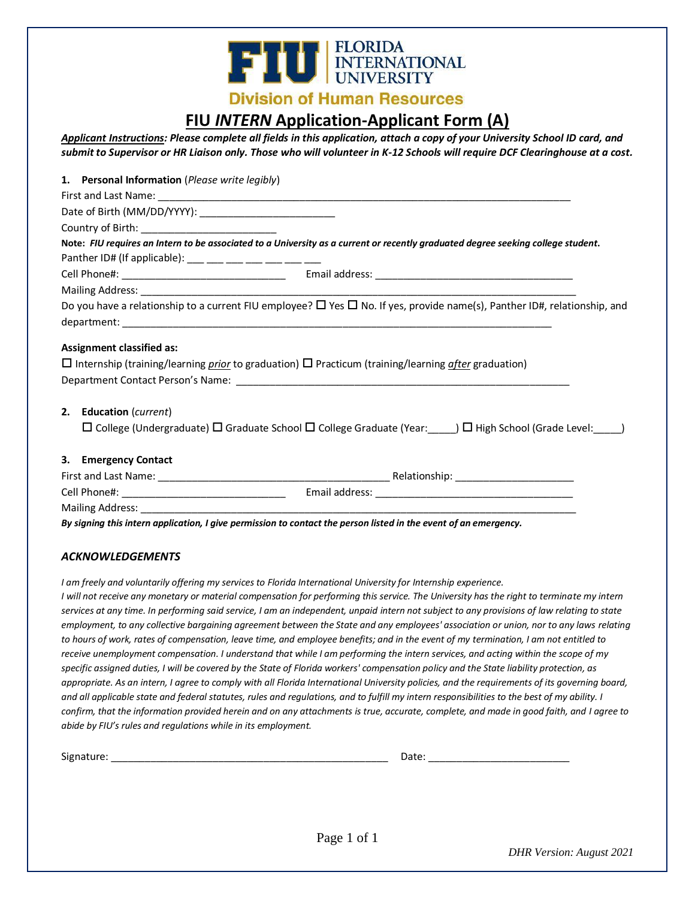

### **Division of Human Resources**

## **FIU** *INTERN* **Application-Applicant Form (A)**

*Applicant Instructions: Please complete all fields in this application, attach a copy of your University School ID card, and submit to Supervisor or HR Liaison only. Those who will volunteer in K-12 Schools will require DCF Clearinghouse at a cost.*

| 1. Personal Information (Please write legibly)           |                                                                                                                                         |
|----------------------------------------------------------|-----------------------------------------------------------------------------------------------------------------------------------------|
|                                                          |                                                                                                                                         |
|                                                          |                                                                                                                                         |
| Country of Birth: _____________________________          |                                                                                                                                         |
|                                                          | Note: FIU requires an Intern to be associated to a University as a current or recently graduated degree seeking college student.        |
| Panther ID# (If applicable): ___ ___ ___ ___ ___ ___ ___ |                                                                                                                                         |
|                                                          |                                                                                                                                         |
|                                                          |                                                                                                                                         |
|                                                          | Do you have a relationship to a current FIU employee? $\Box$ Yes $\Box$ No. If yes, provide name(s), Panther ID#, relationship, and     |
|                                                          |                                                                                                                                         |
|                                                          | $\Box$ Internship (training/learning <i>prior</i> to graduation) $\Box$ Practicum (training/learning <i>after</i> graduation)           |
| 2. Education (current)                                   |                                                                                                                                         |
|                                                          | $\Box$ College (Undergraduate) $\Box$ Graduate School $\Box$ College Graduate (Year: $\Box$ ) $\Box$ High School (Grade Level: $\Box$ ) |
| 3. Emergency Contact                                     |                                                                                                                                         |
|                                                          |                                                                                                                                         |
|                                                          |                                                                                                                                         |
|                                                          |                                                                                                                                         |
|                                                          | By signing this intern application, I give permission to contact the person listed in the event of an emergency.                        |

#### *ACKNOWLEDGEMENTS*

*I am freely and voluntarily offering my services to Florida International University for Internship experience. I will not receive any monetary or material compensation for performing this service. The University has the right to terminate my intern services at any time. In performing said service, I am an independent, unpaid intern not subject to any provisions of law relating to state employment, to any collective bargaining agreement between the State and any employees' association or union, nor to any laws relating to hours of work, rates of compensation, leave time, and employee benefits; and in the event of my termination, I am not entitled to*  receive unemployment compensation. I understand that while I am performing the intern services, and acting within the scope of my *specific assigned duties, I will be covered by the State of Florida workers' compensation policy and the State liability protection, as appropriate. As an intern, I agree to comply with all Florida International University policies, and the requirements of its governing board, and all applicable state and federal statutes, rules and regulations, and to fulfill my intern responsibilities to the best of my ability. I confirm, that the information provided herein and on any attachments is true, accurate, complete, and made in good faith, and I agree to abide by FIU's rules and regulations while in its employment.*

| Signature |     |
|-----------|-----|
| . .       | コレー |